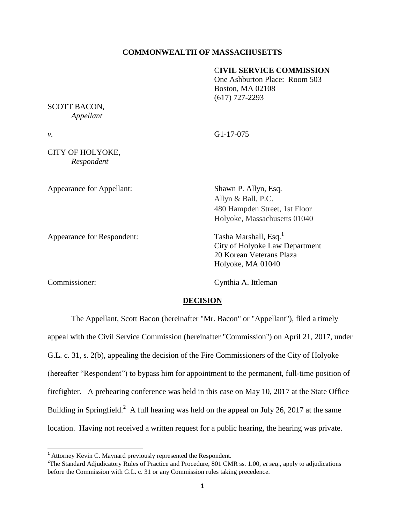# **COMMONWEALTH OF MASSACHUSETTS**

### C**IVIL SERVICE COMMISSION**

One Ashburton Place: Room 503 Boston, MA 02108 (617) 727-2293

SCOTT BACON, *Appellant*

*v.* G1-17-075

CITY OF HOLYOKE, *Respondent*

Appearance for Appellant: Shawn P. Allyn, Esq.

Appearance for Respondent: Tasha Marshall, Esq.<sup>1</sup>

Commissioner: Cynthia A. Ittleman

 $\overline{\phantom{a}}$ 

Allyn & Ball, P.C. 480 Hampden Street, 1st Floor Holyoke, Massachusetts 01040

City of Holyoke Law Department 20 Korean Veterans Plaza Holyoke, MA 01040

### **DECISION**

The Appellant, Scott Bacon (hereinafter "Mr. Bacon" or "Appellant"), filed a timely appeal with the Civil Service Commission (hereinafter "Commission") on April 21, 2017, under G.L. c. 31, s. 2(b), appealing the decision of the Fire Commissioners of the City of Holyoke (hereafter "Respondent") to bypass him for appointment to the permanent, full-time position of firefighter. A prehearing conference was held in this case on May 10, 2017 at the State Office Building in Springfield.<sup>2</sup> A full hearing was held on the appeal on July 26, 2017 at the same location. Having not received a written request for a public hearing, the hearing was private.

 $<sup>1</sup>$  Attorney Kevin C. Maynard previously represented the Respondent.</sup>

<sup>&</sup>lt;sup>2</sup>The Standard Adjudicatory Rules of Practice and Procedure, 801 CMR ss. 1.00, *et seq.*, apply to adjudications before the Commission with G.L. c. 31 or any Commission rules taking precedence.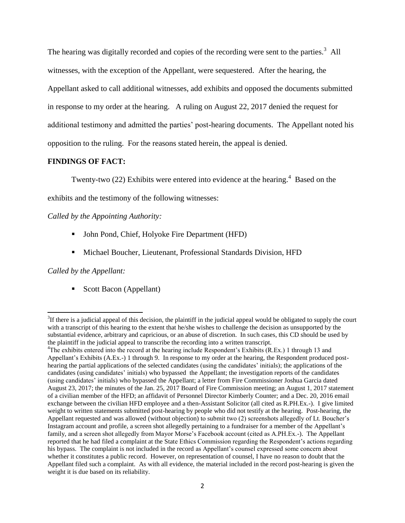The hearing was digitally recorded and copies of the recording were sent to the parties.<sup>3</sup> All witnesses, with the exception of the Appellant, were sequestered. After the hearing, the Appellant asked to call additional witnesses, add exhibits and opposed the documents submitted in response to my order at the hearing. A ruling on August 22, 2017 denied the request for additional testimony and admitted the parties' post-hearing documents. The Appellant noted his opposition to the ruling. For the reasons stated herein, the appeal is denied.

# **FINDINGS OF FACT:**

Twenty-two (22) Exhibits were entered into evidence at the hearing.<sup>4</sup> Based on the

exhibits and the testimony of the following witnesses:

# *Called by the Appointing Authority:*

- John Pond, Chief, Holyoke Fire Department (HFD)
- Michael Boucher, Lieutenant, Professional Standards Division, HFD

# *Called by the Appellant:*

l

Scott Bacon (Appellant)

 $3$ If there is a judicial appeal of this decision, the plaintiff in the judicial appeal would be obligated to supply the court with a transcript of this hearing to the extent that he/she wishes to challenge the decision as unsupported by the substantial evidence, arbitrary and capricious, or an abuse of discretion. In such cases, this CD should be used by the plaintiff in the judicial appeal to transcribe the recording into a written transcript.

<sup>4</sup>The exhibits entered into the record at the hearing include Respondent's Exhibits (R.Ex.) 1 through 13 and Appellant's Exhibits (A.Ex.-) 1 through 9. In response to my order at the hearing, the Respondent produced posthearing the partial applications of the selected candidates (using the candidates' initials); the applications of the candidates (using candidates' initials) who bypassed the Appellant; the investigation reports of the candidates (using candidates' initials) who bypassed the Appellant; a letter from Fire Commissioner Joshua Garcia dated August 23, 2017; the minutes of the Jan. 25, 2017 Board of Fire Commission meeting; an August 1, 2017 statement of a civilian member of the HFD; an affidavit of Personnel Director Kimberly Counter; and a Dec. 20, 2016 email exchange between the civilian HFD employee and a then-Assistant Solicitor (all cited as R.PH.Ex.-). I give limited weight to written statements submitted post-hearing by people who did not testify at the hearing. Post-hearing, the Appellant requested and was allowed (without objection) to submit two (2) screenshots allegedly of Lt. Boucher's Instagram account and profile, a screen shot allegedly pertaining to a fundraiser for a member of the Appellant's family, and a screen shot allegedly from Mayor Morse's Facebook account (cited as A.PH.Ex.-). The Appellant reported that he had filed a complaint at the State Ethics Commission regarding the Respondent's actions regarding his bypass. The complaint is not included in the record as Appellant's counsel expressed some concern about whether it constitutes a public record. However, on representation of counsel, I have no reason to doubt that the Appellant filed such a complaint. As with all evidence, the material included in the record post-hearing is given the weight it is due based on its reliability.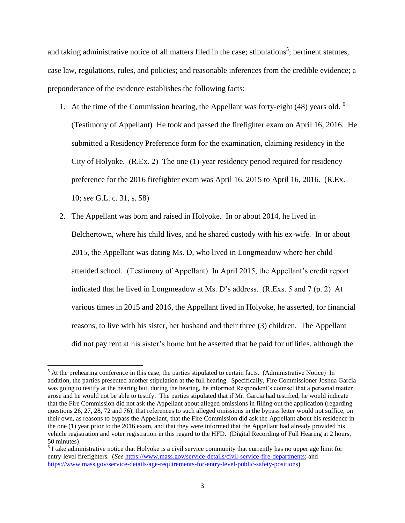and taking administrative notice of all matters filed in the case; stipulations<sup>5</sup>; pertinent statutes, case law, regulations, rules, and policies; and reasonable inferences from the credible evidence; a preponderance of the evidence establishes the following facts:

- 1. At the time of the Commission hearing, the Appellant was forty-eight (48) years old.  $6\overline{ }$ (Testimony of Appellant) He took and passed the firefighter exam on April 16, 2016. He submitted a Residency Preference form for the examination, claiming residency in the City of Holyoke. (R.Ex. 2) The one (1)-year residency period required for residency preference for the 2016 firefighter exam was April 16, 2015 to April 16, 2016. (R.Ex. 10; *see* G.L. c. 31, s. 58)
- 2. The Appellant was born and raised in Holyoke. In or about 2014, he lived in Belchertown, where his child lives, and he shared custody with his ex-wife. In or about 2015, the Appellant was dating Ms. D, who lived in Longmeadow where her child attended school. (Testimony of Appellant) In April 2015, the Appellant's credit report indicated that he lived in Longmeadow at Ms. D's address. (R.Exs. 5 and 7 (p. 2) At various times in 2015 and 2016, the Appellant lived in Holyoke, he asserted, for financial reasons, to live with his sister, her husband and their three (3) children. The Appellant did not pay rent at his sister's home but he asserted that he paid for utilities, although the

 $\overline{a}$ 

 $<sup>5</sup>$  At the prehearing conference in this case, the parties stipulated to certain facts. (Administrative Notice) In</sup> addition, the parties presented another stipulation at the full hearing. Specifically, Fire Commissioner Joshua Garcia was going to testify at the hearing but, during the hearing, he informed Respondent's counsel that a personal matter arose and he would not be able to testify. The parties stipulated that if Mr. Garcia had testified, he would indicate that the Fire Commission did not ask the Appellant about alleged omissions in filling out the application (regarding questions 26, 27, 28, 72 and 76), that references to such alleged omissions in the bypass letter would not suffice, on their own, as reasons to bypass the Appellant, that the Fire Commission did ask the Appellant about his residence in the one (1) year prior to the 2016 exam, and that they were informed that the Appellant had already provided his vehicle registration and voter registration in this regard to the HFD. (Digital Recording of Full Hearing at 2 hours, 50 minutes)

 $6$  I take administrative notice that Holyoke is a civil service community that currently has no upper age limit for entry-level firefighters. (*See* [https://www.mass.gov/service-details/civil-service-fire-departments;](https://www.mass.gov/service-details/civil-service-fire-departments) and [https://www.mass.gov/service-details/age-requirements-for-entry-level-public-safety-positions\)](https://www.mass.gov/service-details/age-requirements-for-entry-level-public-safety-positions)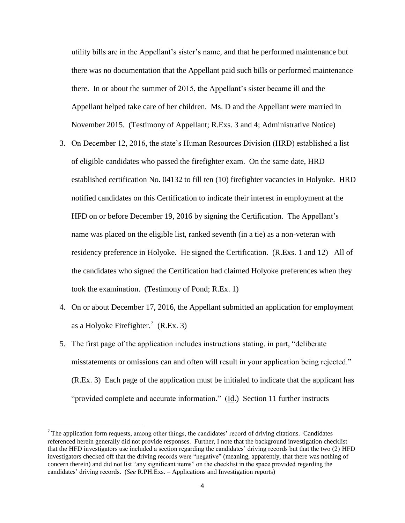utility bills are in the Appellant's sister's name, and that he performed maintenance but there was no documentation that the Appellant paid such bills or performed maintenance there. In or about the summer of 2015, the Appellant's sister became ill and the Appellant helped take care of her children. Ms. D and the Appellant were married in November 2015. (Testimony of Appellant; R.Exs. 3 and 4; Administrative Notice)

- 3. On December 12, 2016, the state's Human Resources Division (HRD) established a list of eligible candidates who passed the firefighter exam. On the same date, HRD established certification No. 04132 to fill ten (10) firefighter vacancies in Holyoke. HRD notified candidates on this Certification to indicate their interest in employment at the HFD on or before December 19, 2016 by signing the Certification. The Appellant's name was placed on the eligible list, ranked seventh (in a tie) as a non-veteran with residency preference in Holyoke. He signed the Certification. (R.Exs. 1 and 12) All of the candidates who signed the Certification had claimed Holyoke preferences when they took the examination. (Testimony of Pond; R.Ex. 1)
- 4. On or about December 17, 2016, the Appellant submitted an application for employment as a Holyoke Firefighter.<sup>7</sup> (R.Ex. 3)
- 5. The first page of the application includes instructions stating, in part, "deliberate misstatements or omissions can and often will result in your application being rejected." (R.Ex. 3) Each page of the application must be initialed to indicate that the applicant has "provided complete and accurate information." (Id.) Section 11 further instructs

l

The application form requests, among other things, the candidates' record of driving citations. Candidates referenced herein generally did not provide responses. Further, I note that the background investigation checklist that the HFD investigators use included a section regarding the candidates' driving records but that the two (2) HFD investigators checked off that the driving records were "negative" (meaning, apparently, that there was nothing of concern therein) and did not list "any significant items" on the checklist in the space provided regarding the candidates' driving records. (*See* R.PH.Exs. – Applications and Investigation reports)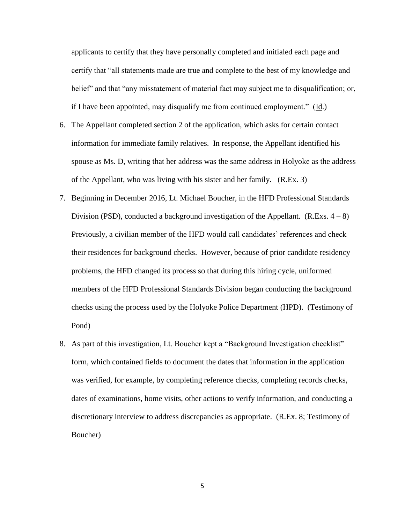applicants to certify that they have personally completed and initialed each page and certify that "all statements made are true and complete to the best of my knowledge and belief" and that "any misstatement of material fact may subject me to disqualification; or, if I have been appointed, may disqualify me from continued employment." (Id.)

- 6. The Appellant completed section 2 of the application, which asks for certain contact information for immediate family relatives. In response, the Appellant identified his spouse as Ms. D, writing that her address was the same address in Holyoke as the address of the Appellant, who was living with his sister and her family. (R.Ex. 3)
- 7. Beginning in December 2016, Lt. Michael Boucher, in the HFD Professional Standards Division (PSD), conducted a background investigation of the Appellant. (R.Exs.  $4-8$ ) Previously, a civilian member of the HFD would call candidates' references and check their residences for background checks. However, because of prior candidate residency problems, the HFD changed its process so that during this hiring cycle, uniformed members of the HFD Professional Standards Division began conducting the background checks using the process used by the Holyoke Police Department (HPD). (Testimony of Pond)
- 8. As part of this investigation, Lt. Boucher kept a "Background Investigation checklist" form, which contained fields to document the dates that information in the application was verified, for example, by completing reference checks, completing records checks, dates of examinations, home visits, other actions to verify information, and conducting a discretionary interview to address discrepancies as appropriate. (R.Ex. 8; Testimony of Boucher)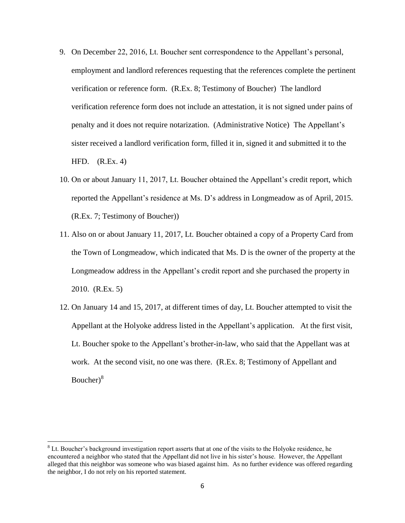- 9. On December 22, 2016, Lt. Boucher sent correspondence to the Appellant's personal, employment and landlord references requesting that the references complete the pertinent verification or reference form. (R.Ex. 8; Testimony of Boucher) The landlord verification reference form does not include an attestation, it is not signed under pains of penalty and it does not require notarization. (Administrative Notice) The Appellant's sister received a landlord verification form, filled it in, signed it and submitted it to the HFD. (R.Ex. 4)
- 10. On or about January 11, 2017, Lt. Boucher obtained the Appellant's credit report, which reported the Appellant's residence at Ms. D's address in Longmeadow as of April, 2015. (R.Ex. 7; Testimony of Boucher))
- 11. Also on or about January 11, 2017, Lt. Boucher obtained a copy of a Property Card from the Town of Longmeadow, which indicated that Ms. D is the owner of the property at the Longmeadow address in the Appellant's credit report and she purchased the property in 2010. (R.Ex. 5)
- 12. On January 14 and 15, 2017, at different times of day, Lt. Boucher attempted to visit the Appellant at the Holyoke address listed in the Appellant's application. At the first visit, Lt. Boucher spoke to the Appellant's brother-in-law, who said that the Appellant was at work. At the second visit, no one was there. (R.Ex. 8; Testimony of Appellant and Boucher)<sup>8</sup>

<sup>&</sup>lt;sup>8</sup> Lt. Boucher's background investigation report asserts that at one of the visits to the Holyoke residence, he encountered a neighbor who stated that the Appellant did not live in his sister's house. However, the Appellant alleged that this neighbor was someone who was biased against him. As no further evidence was offered regarding the neighbor, I do not rely on his reported statement.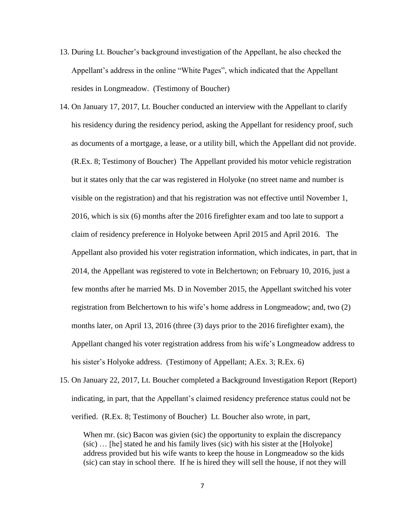- 13. During Lt. Boucher's background investigation of the Appellant, he also checked the Appellant's address in the online "White Pages", which indicated that the Appellant resides in Longmeadow. (Testimony of Boucher)
- 14. On January 17, 2017, Lt. Boucher conducted an interview with the Appellant to clarify his residency during the residency period, asking the Appellant for residency proof, such as documents of a mortgage, a lease, or a utility bill, which the Appellant did not provide. (R.Ex. 8; Testimony of Boucher) The Appellant provided his motor vehicle registration but it states only that the car was registered in Holyoke (no street name and number is visible on the registration) and that his registration was not effective until November 1, 2016, which is six (6) months after the 2016 firefighter exam and too late to support a claim of residency preference in Holyoke between April 2015 and April 2016. The Appellant also provided his voter registration information, which indicates, in part, that in 2014, the Appellant was registered to vote in Belchertown; on February 10, 2016, just a few months after he married Ms. D in November 2015, the Appellant switched his voter registration from Belchertown to his wife's home address in Longmeadow; and, two (2) months later, on April 13, 2016 (three (3) days prior to the 2016 firefighter exam), the Appellant changed his voter registration address from his wife's Longmeadow address to his sister's Holyoke address. (Testimony of Appellant; A.Ex. 3; R.Ex. 6)
- 15. On January 22, 2017, Lt. Boucher completed a Background Investigation Report (Report) indicating, in part, that the Appellant's claimed residency preference status could not be verified. (R.Ex. 8; Testimony of Boucher) Lt. Boucher also wrote, in part,

When mr. (sic) Bacon was givien (sic) the opportunity to explain the discrepancy (sic) … [he] stated he and his family lives (sic) with his sister at the [Holyoke] address provided but his wife wants to keep the house in Longmeadow so the kids (sic) can stay in school there. If he is hired they will sell the house, if not they will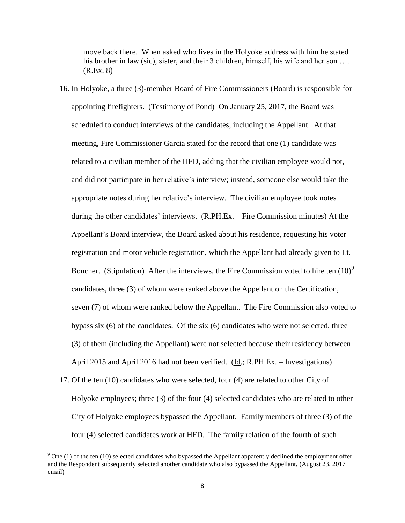move back there. When asked who lives in the Holyoke address with him he stated his brother in law (sic), sister, and their 3 children, himself, his wife and her son ... (R.Ex. 8)

- 16. In Holyoke, a three (3)-member Board of Fire Commissioners (Board) is responsible for appointing firefighters. (Testimony of Pond) On January 25, 2017, the Board was scheduled to conduct interviews of the candidates, including the Appellant. At that meeting, Fire Commissioner Garcia stated for the record that one (1) candidate was related to a civilian member of the HFD, adding that the civilian employee would not, and did not participate in her relative's interview; instead, someone else would take the appropriate notes during her relative's interview. The civilian employee took notes during the other candidates' interviews. (R.PH.Ex. – Fire Commission minutes) At the Appellant's Board interview, the Board asked about his residence, requesting his voter registration and motor vehicle registration, which the Appellant had already given to Lt. Boucher. (Stipulation) After the interviews, the Fire Commission voted to hire ten  $(10)^9$ candidates, three (3) of whom were ranked above the Appellant on the Certification, seven (7) of whom were ranked below the Appellant. The Fire Commission also voted to bypass six (6) of the candidates. Of the six (6) candidates who were not selected, three (3) of them (including the Appellant) were not selected because their residency between April 2015 and April 2016 had not been verified. (Id.; R.PH.Ex. – Investigations)
- 17. Of the ten (10) candidates who were selected, four (4) are related to other City of Holyoke employees; three (3) of the four (4) selected candidates who are related to other City of Holyoke employees bypassed the Appellant. Family members of three (3) of the four (4) selected candidates work at HFD. The family relation of the fourth of such

 $9$  One (1) of the ten (10) selected candidates who bypassed the Appellant apparently declined the employment offer and the Respondent subsequently selected another candidate who also bypassed the Appellant. (August 23, 2017 email)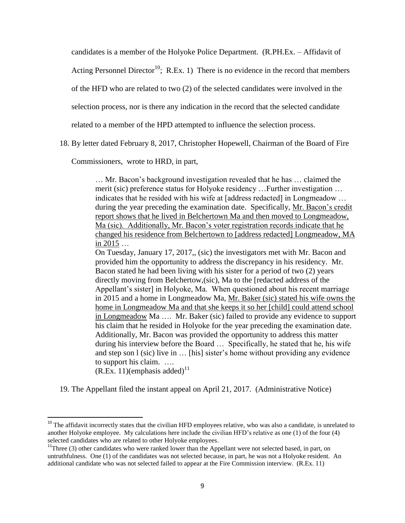candidates is a member of the Holyoke Police Department. (R.PH.Ex. – Affidavit of

Acting Personnel Director<sup>10</sup>; R.Ex. 1) There is no evidence in the record that members

of the HFD who are related to two (2) of the selected candidates were involved in the

selection process, nor is there any indication in the record that the selected candidate

related to a member of the HPD attempted to influence the selection process.

18. By letter dated February 8, 2017, Christopher Hopewell, Chairman of the Board of Fire

Commissioners, wrote to HRD, in part,

… Mr. Bacon's background investigation revealed that he has … claimed the merit (sic) preference status for Holyoke residency …Further investigation … indicates that he resided with his wife at [address redacted] in Longmeadow … during the year preceding the examination date. Specifically, Mr. Bacon's credit report shows that he lived in Belchertown Ma and then moved to Longmeadow, Ma (sic). Additionally, Mr. Bacon's voter registration records indicate that he changed his residence from Belchertown to [address redacted] Longmeadow, MA in 2015 …

On Tuesday, January 17, 2017,, (sic) the investigators met with Mr. Bacon and provided him the opportunity to address the discrepancy in his residency. Mr. Bacon stated he had been living with his sister for a period of two (2) years directly moving from Belchertow,(sic), Ma to the [redacted address of the Appellant's sister] in Holyoke, Ma. When questioned about his recent marriage in 2015 and a home in Longmeadow Ma, Mr. Baker (sic) stated his wife owns the home in Longmeadow Ma and that she keeps it so her [child] could attend school in Longmeadow Ma …. Mr. Baker (sic) failed to provide any evidence to support his claim that he resided in Holyoke for the year preceding the examination date. Additionally, Mr. Bacon was provided the opportunity to address this matter during his interview before the Board … Specifically, he stated that he, his wife and step son l (sic) live in … [his] sister's home without providing any evidence to support his claim. ….

 $(R.Ex. 11)(emphasis added)^{11}$ 

 $\overline{a}$ 

19. The Appellant filed the instant appeal on April 21, 2017. (Administrative Notice)

 $10$  The affidavit incorrectly states that the civilian HFD employees relative, who was also a candidate, is unrelated to another Holyoke employee. My calculations here include the civilian HFD's relative as one (1) of the four (4) selected candidates who are related to other Holyoke employees.

 $11$ Three (3) other candidates who were ranked lower than the Appellant were not selected based, in part, on untruthfulness. One (1) of the candidates was not selected because, in part, he was not a Holyoke resident. An additional candidate who was not selected failed to appear at the Fire Commission interview. (R.Ex. 11)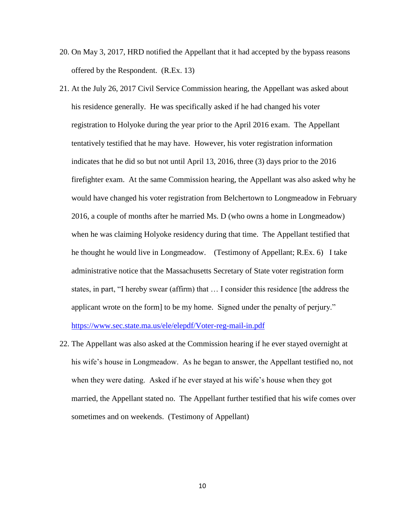- 20. On May 3, 2017, HRD notified the Appellant that it had accepted by the bypass reasons offered by the Respondent. (R.Ex. 13)
- 21. At the July 26, 2017 Civil Service Commission hearing, the Appellant was asked about his residence generally. He was specifically asked if he had changed his voter registration to Holyoke during the year prior to the April 2016 exam. The Appellant tentatively testified that he may have. However, his voter registration information indicates that he did so but not until April 13, 2016, three (3) days prior to the 2016 firefighter exam. At the same Commission hearing, the Appellant was also asked why he would have changed his voter registration from Belchertown to Longmeadow in February 2016, a couple of months after he married Ms. D (who owns a home in Longmeadow) when he was claiming Holyoke residency during that time. The Appellant testified that he thought he would live in Longmeadow. (Testimony of Appellant; R.Ex. 6) I take administrative notice that the Massachusetts Secretary of State voter registration form states, in part, "I hereby swear (affirm) that … I consider this residence [the address the applicant wrote on the form] to be my home. Signed under the penalty of perjury."

<https://www.sec.state.ma.us/ele/elepdf/Voter-reg-mail-in.pdf>

22. The Appellant was also asked at the Commission hearing if he ever stayed overnight at his wife's house in Longmeadow. As he began to answer, the Appellant testified no, not when they were dating. Asked if he ever stayed at his wife's house when they got married, the Appellant stated no. The Appellant further testified that his wife comes over sometimes and on weekends. (Testimony of Appellant)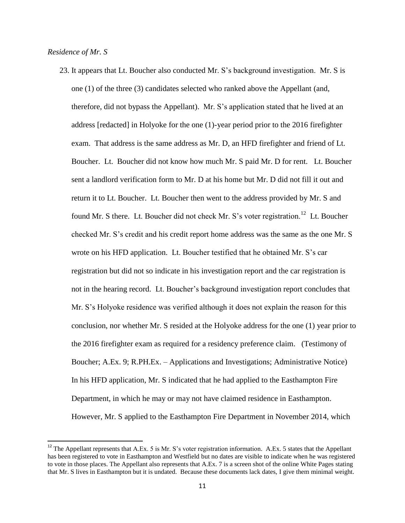## *Residence of Mr. S*

 $\overline{\phantom{a}}$ 

23. It appears that Lt. Boucher also conducted Mr. S's background investigation. Mr. S is one (1) of the three (3) candidates selected who ranked above the Appellant (and, therefore, did not bypass the Appellant). Mr. S's application stated that he lived at an address [redacted] in Holyoke for the one (1)-year period prior to the 2016 firefighter exam. That address is the same address as Mr. D, an HFD firefighter and friend of Lt. Boucher. Lt. Boucher did not know how much Mr. S paid Mr. D for rent. Lt. Boucher sent a landlord verification form to Mr. D at his home but Mr. D did not fill it out and return it to Lt. Boucher. Lt. Boucher then went to the address provided by Mr. S and found Mr. S there. Lt. Boucher did not check Mr. S's voter registration.<sup>12</sup> Lt. Boucher checked Mr. S's credit and his credit report home address was the same as the one Mr. S wrote on his HFD application. Lt. Boucher testified that he obtained Mr. S's car registration but did not so indicate in his investigation report and the car registration is not in the hearing record. Lt. Boucher's background investigation report concludes that Mr. S's Holyoke residence was verified although it does not explain the reason for this conclusion, nor whether Mr. S resided at the Holyoke address for the one (1) year prior to the 2016 firefighter exam as required for a residency preference claim. (Testimony of Boucher; A.Ex. 9; R.PH.Ex. – Applications and Investigations; Administrative Notice) In his HFD application, Mr. S indicated that he had applied to the Easthampton Fire Department, in which he may or may not have claimed residence in Easthampton. However, Mr. S applied to the Easthampton Fire Department in November 2014, which

 $12$  The Appellant represents that A.Ex. 5 is Mr. S's voter registration information. A.Ex. 5 states that the Appellant has been registered to vote in Easthampton and Westfield but no dates are visible to indicate when he was registered to vote in those places. The Appellant also represents that A.Ex. 7 is a screen shot of the online White Pages stating that Mr. S lives in Easthampton but it is undated. Because these documents lack dates, I give them minimal weight.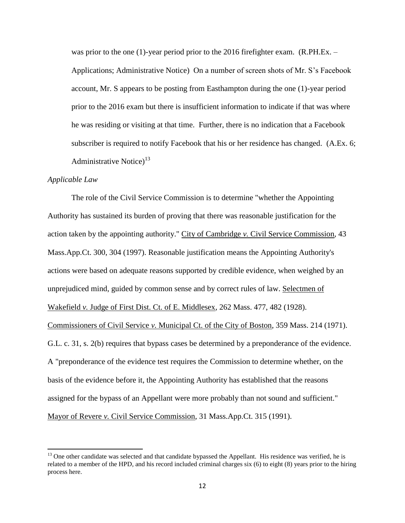was prior to the one (1)-year period prior to the 2016 firefighter exam. (R.PH.Ex. – Applications; Administrative Notice) On a number of screen shots of Mr. S's Facebook account, Mr. S appears to be posting from Easthampton during the one (1)-year period prior to the 2016 exam but there is insufficient information to indicate if that was where he was residing or visiting at that time. Further, there is no indication that a Facebook subscriber is required to notify Facebook that his or her residence has changed. (A.Ex. 6; Administrative Notice)<sup>13</sup>

## *Applicable Law*

 $\overline{\phantom{a}}$ 

The role of the Civil Service Commission is to determine "whether the Appointing Authority has sustained its burden of proving that there was reasonable justification for the action taken by the appointing authority." City of Cambridge *v.* Civil Service Commission, 43 Mass.App.Ct. 300, 304 (1997). Reasonable justification means the Appointing Authority's actions were based on adequate reasons supported by credible evidence, when weighed by an unprejudiced mind, guided by common sense and by correct rules of law. Selectmen of Wakefield *v.* Judge of First Dist. Ct. of E. Middlesex, 262 Mass. 477, 482 (1928). Commissioners of Civil Service *v.* Municipal Ct. of the City of Boston, 359 Mass. 214 (1971). G.L. c. 31, s. 2(b) requires that bypass cases be determined by a preponderance of the evidence. A "preponderance of the evidence test requires the Commission to determine whether, on the basis of the evidence before it, the Appointing Authority has established that the reasons assigned for the bypass of an Appellant were more probably than not sound and sufficient." Mayor of Revere *v.* Civil Service Commission, 31 Mass.App.Ct. 315 (1991).

 $13$  One other candidate was selected and that candidate bypassed the Appellant. His residence was verified, he is related to a member of the HPD, and his record included criminal charges six (6) to eight (8) years prior to the hiring process here.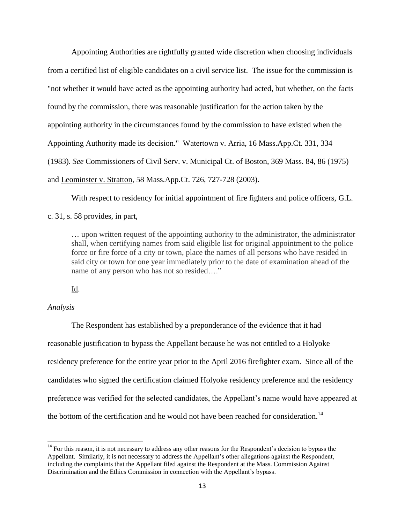Appointing Authorities are rightfully granted wide discretion when choosing individuals from a certified list of eligible candidates on a civil service list. The issue for the commission is "not whether it would have acted as the appointing authority had acted, but whether, on the facts found by the commission, there was reasonable justification for the action taken by the appointing authority in the circumstances found by the commission to have existed when the Appointing Authority made its decision." Watertown v. Arria, 16 Mass.App.Ct. 331, 334 (1983). *See* Commissioners of Civil Serv. v. Municipal Ct. of Boston, 369 Mass. 84, 86 (1975) and Leominster v. Stratton, 58 Mass.App.Ct. 726, 727-728 (2003).

With respect to residency for initial appointment of fire fighters and police officers, G.L.

c. 31, s. 58 provides, in part,

… upon written request of the appointing authority to the administrator, the administrator shall, when certifying names from said eligible list for original appointment to the police force or fire force of a city or town, place the names of all persons who have resided in said city or town for one year immediately prior to the date of examination ahead of the name of any person who has not so resided…."

Id.

## *Analysis*

 $\overline{\phantom{a}}$ 

The Respondent has established by a preponderance of the evidence that it had reasonable justification to bypass the Appellant because he was not entitled to a Holyoke residency preference for the entire year prior to the April 2016 firefighter exam. Since all of the candidates who signed the certification claimed Holyoke residency preference and the residency preference was verified for the selected candidates, the Appellant's name would have appeared at the bottom of the certification and he would not have been reached for consideration.<sup>14</sup>

 $14$  For this reason, it is not necessary to address any other reasons for the Respondent's decision to bypass the Appellant. Similarly, it is not necessary to address the Appellant's other allegations against the Respondent, including the complaints that the Appellant filed against the Respondent at the Mass. Commission Against Discrimination and the Ethics Commission in connection with the Appellant's bypass.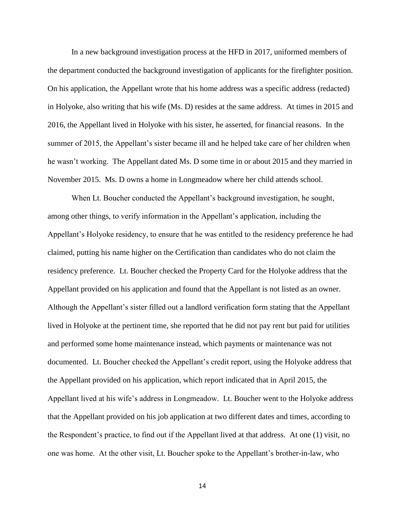In a new background investigation process at the HFD in 2017, uniformed members of the department conducted the background investigation of applicants for the firefighter position. On his application, the Appellant wrote that his home address was a specific address (redacted) in Holyoke, also writing that his wife (Ms. D) resides at the same address. At times in 2015 and 2016, the Appellant lived in Holyoke with his sister, he asserted, for financial reasons. In the summer of 2015, the Appellant's sister became ill and he helped take care of her children when he wasn't working. The Appellant dated Ms. D some time in or about 2015 and they married in November 2015. Ms. D owns a home in Longmeadow where her child attends school.

When Lt. Boucher conducted the Appellant's background investigation, he sought, among other things, to verify information in the Appellant's application, including the Appellant's Holyoke residency, to ensure that he was entitled to the residency preference he had claimed, putting his name higher on the Certification than candidates who do not claim the residency preference. Lt. Boucher checked the Property Card for the Holyoke address that the Appellant provided on his application and found that the Appellant is not listed as an owner. Although the Appellant's sister filled out a landlord verification form stating that the Appellant lived in Holyoke at the pertinent time, she reported that he did not pay rent but paid for utilities and performed some home maintenance instead, which payments or maintenance was not documented. Lt. Boucher checked the Appellant's credit report, using the Holyoke address that the Appellant provided on his application, which report indicated that in April 2015, the Appellant lived at his wife's address in Longmeadow. Lt. Boucher went to the Holyoke address that the Appellant provided on his job application at two different dates and times, according to the Respondent's practice, to find out if the Appellant lived at that address. At one (1) visit, no one was home. At the other visit, Lt. Boucher spoke to the Appellant's brother-in-law, who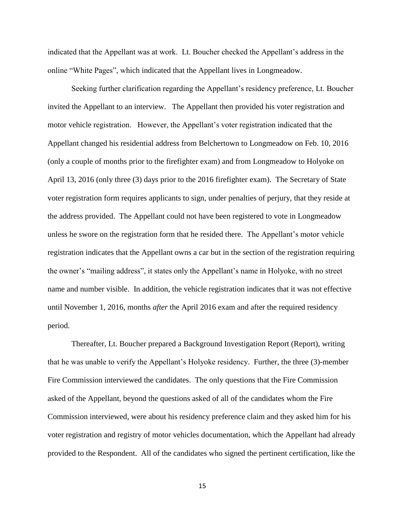indicated that the Appellant was at work. Lt. Boucher checked the Appellant's address in the online "White Pages", which indicated that the Appellant lives in Longmeadow.

Seeking further clarification regarding the Appellant's residency preference, Lt. Boucher invited the Appellant to an interview. The Appellant then provided his voter registration and motor vehicle registration. However, the Appellant's voter registration indicated that the Appellant changed his residential address from Belchertown to Longmeadow on Feb. 10, 2016 (only a couple of months prior to the firefighter exam) and from Longmeadow to Holyoke on April 13, 2016 (only three (3) days prior to the 2016 firefighter exam). The Secretary of State voter registration form requires applicants to sign, under penalties of perjury, that they reside at the address provided. The Appellant could not have been registered to vote in Longmeadow unless he swore on the registration form that he resided there. The Appellant's motor vehicle registration indicates that the Appellant owns a car but in the section of the registration requiring the owner's "mailing address", it states only the Appellant's name in Holyoke, with no street name and number visible. In addition, the vehicle registration indicates that it was not effective until November 1, 2016, months *after* the April 2016 exam and after the required residency period.

Thereafter, Lt. Boucher prepared a Background Investigation Report (Report), writing that he was unable to verify the Appellant's Holyoke residency. Further, the three (3)-member Fire Commission interviewed the candidates. The only questions that the Fire Commission asked of the Appellant, beyond the questions asked of all of the candidates whom the Fire Commission interviewed, were about his residency preference claim and they asked him for his voter registration and registry of motor vehicles documentation, which the Appellant had already provided to the Respondent. All of the candidates who signed the pertinent certification, like the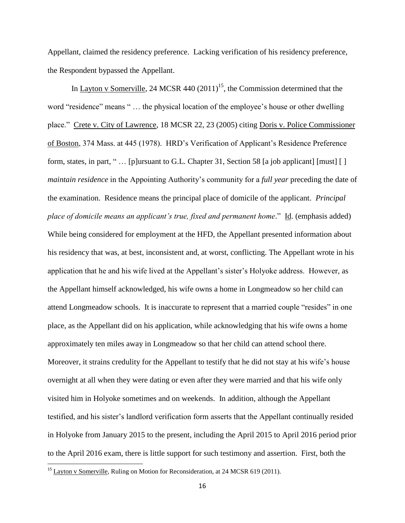Appellant, claimed the residency preference. Lacking verification of his residency preference, the Respondent bypassed the Appellant.

In Layton v Somerville, 24 MCSR 440  $(2011)^{15}$ , the Commission determined that the word "residence" means " ... the physical location of the employee's house or other dwelling place." Crete v. City of Lawrence, 18 MCSR 22, 23 (2005) citing Doris v. Police Commissioner of Boston, 374 Mass. at 445 (1978). HRD's Verification of Applicant's Residence Preference form, states, in part, " … [p]ursuant to G.L. Chapter 31, Section 58 [a job applicant] [must] [ ] *maintain residence* in the Appointing Authority's community for a *full year* preceding the date of the examination. Residence means the principal place of domicile of the applicant. *Principal place of domicile means an applicant's true, fixed and permanent home*." Id. (emphasis added) While being considered for employment at the HFD, the Appellant presented information about his residency that was, at best, inconsistent and, at worst, conflicting. The Appellant wrote in his application that he and his wife lived at the Appellant's sister's Holyoke address. However, as the Appellant himself acknowledged, his wife owns a home in Longmeadow so her child can attend Longmeadow schools. It is inaccurate to represent that a married couple "resides" in one place, as the Appellant did on his application, while acknowledging that his wife owns a home approximately ten miles away in Longmeadow so that her child can attend school there. Moreover, it strains credulity for the Appellant to testify that he did not stay at his wife's house overnight at all when they were dating or even after they were married and that his wife only visited him in Holyoke sometimes and on weekends. In addition, although the Appellant testified, and his sister's landlord verification form asserts that the Appellant continually resided in Holyoke from January 2015 to the present, including the April 2015 to April 2016 period prior to the April 2016 exam, there is little support for such testimony and assertion. First, both the

 $^{15}$  Layton v Somerville, Ruling on Motion for Reconsideration, at 24 MCSR 619 (2011).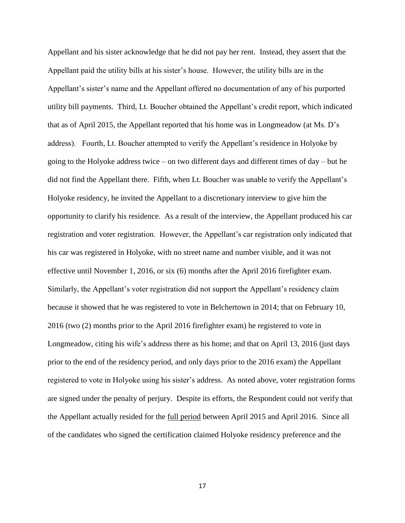Appellant and his sister acknowledge that he did not pay her rent. Instead, they assert that the Appellant paid the utility bills at his sister's house. However, the utility bills are in the Appellant's sister's name and the Appellant offered no documentation of any of his purported utility bill payments. Third, Lt. Boucher obtained the Appellant's credit report, which indicated that as of April 2015, the Appellant reported that his home was in Longmeadow (at Ms. D's address). Fourth, Lt. Boucher attempted to verify the Appellant's residence in Holyoke by going to the Holyoke address twice – on two different days and different times of day – but he did not find the Appellant there. Fifth, when Lt. Boucher was unable to verify the Appellant's Holyoke residency, he invited the Appellant to a discretionary interview to give him the opportunity to clarify his residence. As a result of the interview, the Appellant produced his car registration and voter registration. However, the Appellant's car registration only indicated that his car was registered in Holyoke, with no street name and number visible, and it was not effective until November 1, 2016, or six (6) months after the April 2016 firefighter exam. Similarly, the Appellant's voter registration did not support the Appellant's residency claim because it showed that he was registered to vote in Belchertown in 2014; that on February 10, 2016 (two (2) months prior to the April 2016 firefighter exam) he registered to vote in Longmeadow, citing his wife's address there as his home; and that on April 13, 2016 (just days prior to the end of the residency period, and only days prior to the 2016 exam) the Appellant registered to vote in Holyoke using his sister's address. As noted above, voter registration forms are signed under the penalty of perjury. Despite its efforts, the Respondent could not verify that the Appellant actually resided for the full period between April 2015 and April 2016. Since all of the candidates who signed the certification claimed Holyoke residency preference and the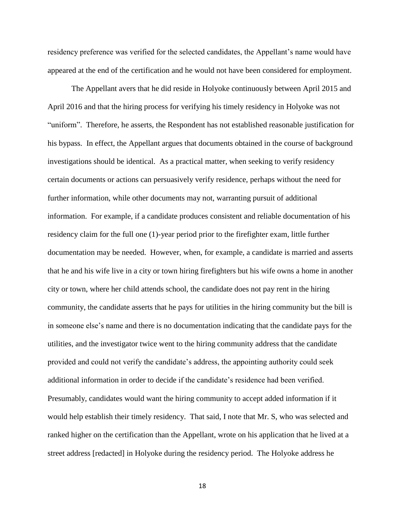residency preference was verified for the selected candidates, the Appellant's name would have appeared at the end of the certification and he would not have been considered for employment.

The Appellant avers that he did reside in Holyoke continuously between April 2015 and April 2016 and that the hiring process for verifying his timely residency in Holyoke was not "uniform". Therefore, he asserts, the Respondent has not established reasonable justification for his bypass. In effect, the Appellant argues that documents obtained in the course of background investigations should be identical. As a practical matter, when seeking to verify residency certain documents or actions can persuasively verify residence, perhaps without the need for further information, while other documents may not, warranting pursuit of additional information. For example, if a candidate produces consistent and reliable documentation of his residency claim for the full one (1)-year period prior to the firefighter exam, little further documentation may be needed. However, when, for example, a candidate is married and asserts that he and his wife live in a city or town hiring firefighters but his wife owns a home in another city or town, where her child attends school, the candidate does not pay rent in the hiring community, the candidate asserts that he pays for utilities in the hiring community but the bill is in someone else's name and there is no documentation indicating that the candidate pays for the utilities, and the investigator twice went to the hiring community address that the candidate provided and could not verify the candidate's address, the appointing authority could seek additional information in order to decide if the candidate's residence had been verified. Presumably, candidates would want the hiring community to accept added information if it would help establish their timely residency. That said, I note that Mr. S, who was selected and ranked higher on the certification than the Appellant, wrote on his application that he lived at a street address [redacted] in Holyoke during the residency period. The Holyoke address he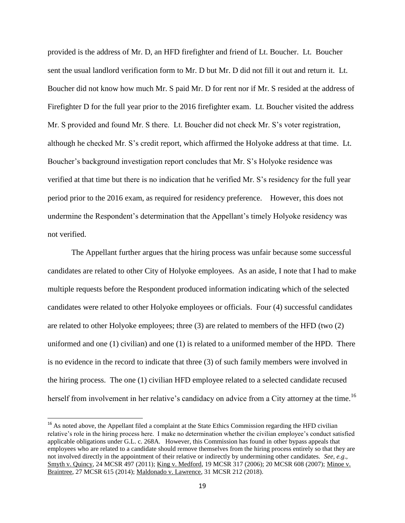provided is the address of Mr. D, an HFD firefighter and friend of Lt. Boucher. Lt. Boucher sent the usual landlord verification form to Mr. D but Mr. D did not fill it out and return it. Lt. Boucher did not know how much Mr. S paid Mr. D for rent nor if Mr. S resided at the address of Firefighter D for the full year prior to the 2016 firefighter exam. Lt. Boucher visited the address Mr. S provided and found Mr. S there. Lt. Boucher did not check Mr. S's voter registration, although he checked Mr. S's credit report, which affirmed the Holyoke address at that time. Lt. Boucher's background investigation report concludes that Mr. S's Holyoke residence was verified at that time but there is no indication that he verified Mr. S's residency for the full year period prior to the 2016 exam, as required for residency preference. However, this does not undermine the Respondent's determination that the Appellant's timely Holyoke residency was not verified.

The Appellant further argues that the hiring process was unfair because some successful candidates are related to other City of Holyoke employees. As an aside, I note that I had to make multiple requests before the Respondent produced information indicating which of the selected candidates were related to other Holyoke employees or officials. Four (4) successful candidates are related to other Holyoke employees; three (3) are related to members of the HFD (two (2) uniformed and one (1) civilian) and one (1) is related to a uniformed member of the HPD. There is no evidence in the record to indicate that three (3) of such family members were involved in the hiring process. The one (1) civilian HFD employee related to a selected candidate recused herself from involvement in her relative's candidacy on advice from a City attorney at the time.<sup>16</sup>

<sup>&</sup>lt;sup>16</sup> As noted above, the Appellant filed a complaint at the State Ethics Commission regarding the HFD civilian relative's role in the hiring process here. I make no determination whether the civilian employee's conduct satisfied applicable obligations under G.L. c. 268A. However, this Commission has found in other bypass appeals that employees who are related to a candidate should remove themselves from the hiring process entirely so that they are not involved directly in the appointment of their relative or indirectly by undermining other candidates. *See, e.g*., Smyth v. Quincy, 24 MCSR 497 (2011); King v. Medford, 19 MCSR 317 (2006); 20 MCSR 608 (2007); Minoe v. Braintree, 27 MCSR 615 (2014); Maldonado v. Lawrence, 31 MCSR 212 (2018).